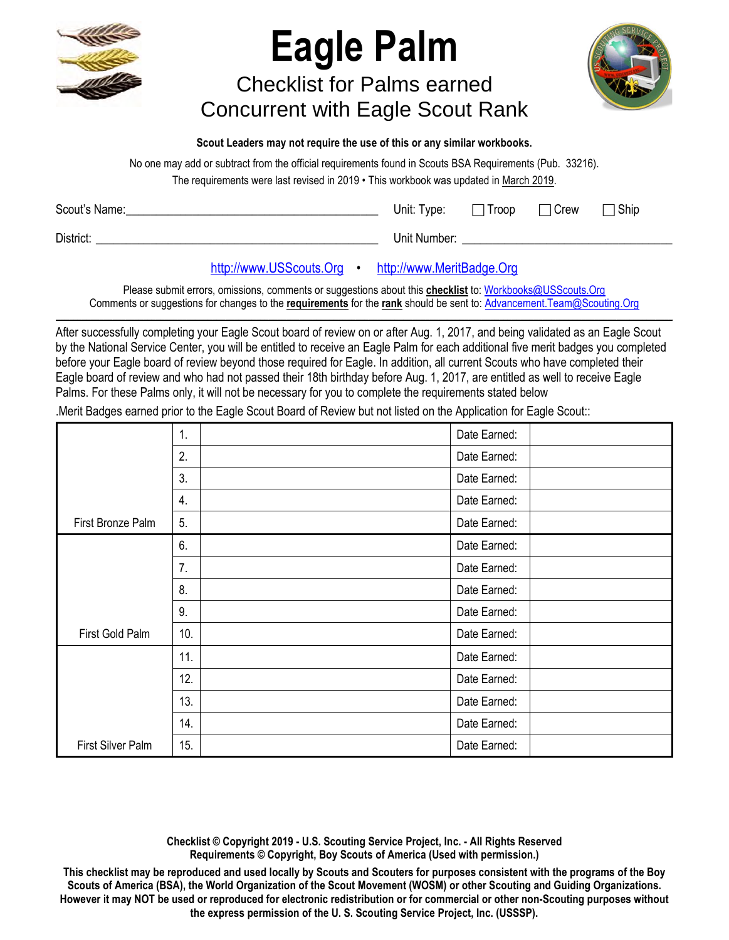

## **Eagle Palm**

Checklist for Palms earned Concurrent with Eagle Scout Rank



**Scout Leaders may not require the use of this or any similar workbooks.**

No one may add or subtract from the official requirements found in Scouts BSA Requirements (Pub. 33216).

The requirements were last revised in 2019 • This workbook was updated in March 2019.

| Scout's Name: | Unit: Type: $\Box$ Troop | $\Box$ Crew | $\sqsupset$ Ship |
|---------------|--------------------------|-------------|------------------|
| District:     | Unit Number:             |             |                  |

## [http://www.USScouts.Org](http://www.usscouts.org/) • [http://www.MeritBadge.Org](http://www.meritbadge.org/)

Please submit errors, omissions, comments or suggestions about this **checklist** to[: Workbooks@USScouts.Org](mailto:Workbooks@usscouts.org?subject=Merit%20Badge%20Workbooks) Comments or suggestions for changes to the **requirements** for the **rank** should be sent to: [Advancement.Team@Scouting.Org](mailto:Advancement.Team@Scouting.Org) *\_\_\_\_\_\_\_\_\_\_\_\_\_\_\_\_\_\_\_\_\_\_\_\_\_\_\_\_\_\_\_\_\_\_\_\_\_\_\_\_\_\_\_\_\_\_\_\_\_\_\_\_\_\_\_\_\_\_\_\_\_\_\_\_\_\_\_\_\_\_\_\_\_\_\_\_\_\_\_\_\_\_\_\_\_\_\_\_\_\_\_\_\_\_\_\_\_\_\_\_\_\_\_\_\_\_\_\_\_\_\_\_\_\_\_\_\_\_\_\_\_\_\_\_\_\_\_\_\_\_\_\_\_\_\_\_\_\_\_\_\_\_* 

After successfully completing your Eagle Scout board of review on or after Aug. 1, 2017, and being validated as an Eagle Scout by the National Service Center, you will be entitled to receive an Eagle Palm for each additional five merit badges you completed before your Eagle board of review beyond those required for Eagle. In addition, all current Scouts who have completed their Eagle board of review and who had not passed their 18th birthday before Aug. 1, 2017, are entitled as well to receive Eagle Palms. For these Palms only, it will not be necessary for you to complete the requirements stated below

.Merit Badges earned prior to the Eagle Scout Board of Review but not listed on the Application for Eagle Scout::

|                   | 1.  | Date Earned: |  |
|-------------------|-----|--------------|--|
|                   | 2.  | Date Earned: |  |
|                   | 3.  | Date Earned: |  |
|                   | 4.  | Date Earned: |  |
| First Bronze Palm | 5.  | Date Earned: |  |
|                   | 6.  | Date Earned: |  |
|                   | 7.  | Date Earned: |  |
|                   | 8.  | Date Earned: |  |
|                   | 9.  | Date Earned: |  |
| First Gold Palm   | 10. | Date Earned: |  |
|                   | 11. | Date Earned: |  |
|                   | 12. | Date Earned: |  |
|                   | 13. | Date Earned: |  |
|                   | 14. | Date Earned: |  |
| First Silver Palm | 15. | Date Earned: |  |

**Checklist © Copyright 2019 - U.S. Scouting Service Project, Inc. - All Rights Reserved Requirements © Copyright, Boy Scouts of America (Used with permission.)** 

**This checklist may be reproduced and used locally by Scouts and Scouters for purposes consistent with the programs of the Boy Scouts of America (BSA), the World Organization of the Scout Movement (WOSM) or other Scouting and Guiding Organizations. However it may NOT be used or reproduced for electronic redistribution or for commercial or other non-Scouting purposes without the express permission of the U. S. Scouting Service Project, Inc. (USSSP).**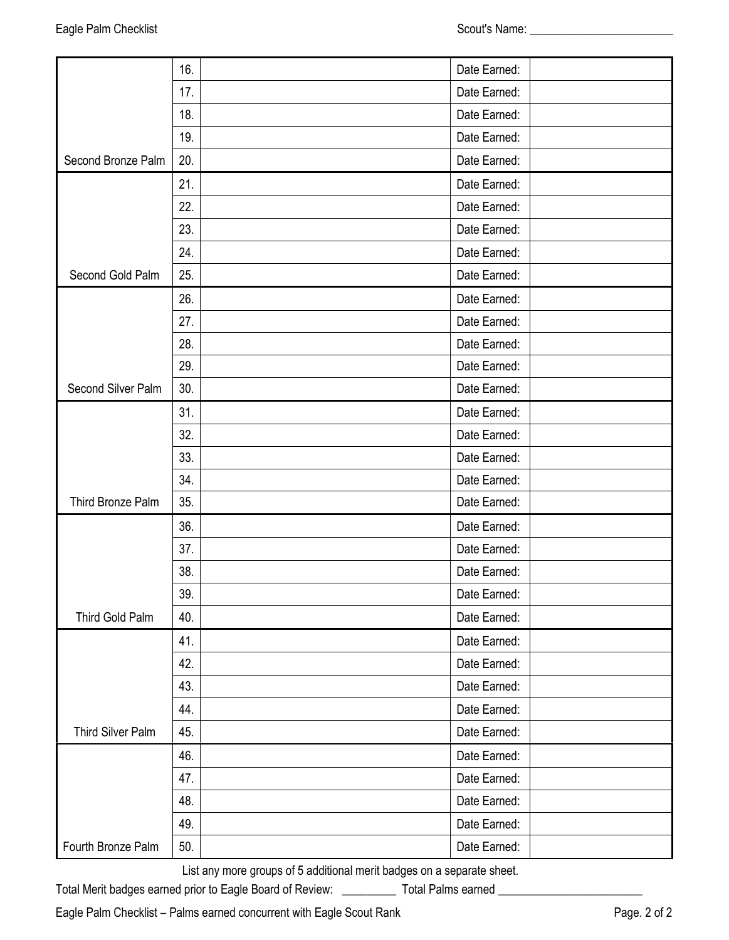|                    | 16. | Date Earned: |  |
|--------------------|-----|--------------|--|
|                    | 17. | Date Earned: |  |
|                    | 18. | Date Earned: |  |
|                    | 19. | Date Earned: |  |
| Second Bronze Palm | 20. | Date Earned: |  |
|                    | 21. | Date Earned: |  |
|                    | 22. | Date Earned: |  |
|                    | 23. | Date Earned: |  |
|                    | 24. | Date Earned: |  |
| Second Gold Palm   | 25. | Date Earned: |  |
|                    | 26. | Date Earned: |  |
|                    | 27. | Date Earned: |  |
|                    | 28. | Date Earned: |  |
|                    | 29. | Date Earned: |  |
| Second Silver Palm | 30. | Date Earned: |  |
|                    | 31. | Date Earned: |  |
|                    | 32. | Date Earned: |  |
|                    | 33. | Date Earned: |  |
|                    | 34. | Date Earned: |  |
| Third Bronze Palm  | 35. | Date Earned: |  |
|                    | 36. | Date Earned: |  |
|                    | 37. | Date Earned: |  |
|                    | 38. | Date Earned: |  |
|                    | 39. | Date Earned: |  |
| Third Gold Palm    | 40. | Date Earned: |  |
|                    | 41. | Date Earned: |  |
|                    | 42. | Date Earned: |  |
|                    | 43. | Date Earned: |  |
|                    | 44. | Date Earned: |  |
| Third Silver Palm  | 45. | Date Earned: |  |
|                    | 46. | Date Earned: |  |
|                    | 47. | Date Earned: |  |
|                    | 48. | Date Earned: |  |
|                    | 49. | Date Earned: |  |
| Fourth Bronze Palm | 50. | Date Earned: |  |

List any more groups of 5 additional merit badges on a separate sheet.

Total Merit badges earned prior to Eagle Board of Review: \_\_\_\_\_\_\_\_\_\_\_\_\_ Total Palms earned \_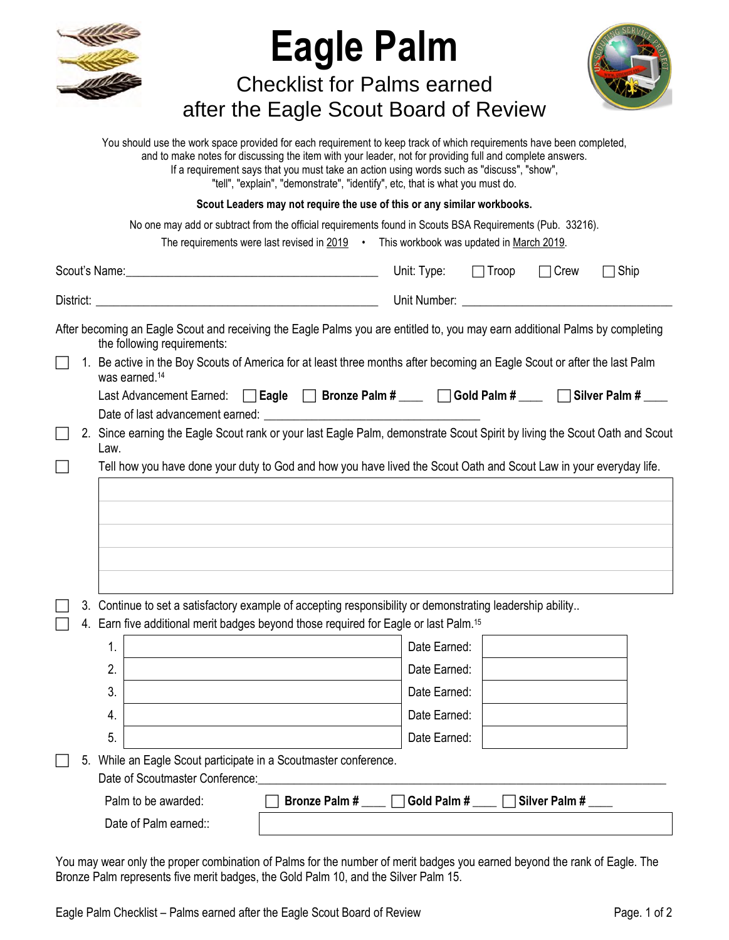| <b>Eagle Palm</b><br><b>Checklist for Palms earned</b><br>after the Eagle Scout Board of Review<br>You should use the work space provided for each requirement to keep track of which requirements have been completed,<br>and to make notes for discussing the item with your leader, not for providing full and complete answers.<br>If a requirement says that you must take an action using words such as "discuss", "show",<br>"tell", "explain", "demonstrate", "identify", etc, that is what you must do.<br>Scout Leaders may not require the use of this or any similar workbooks.<br>No one may add or subtract from the official requirements found in Scouts BSA Requirements (Pub. 33216).<br>The requirements were last revised in 2019 • This workbook was updated in March 2019. |                                                                                                                              |  |  |  |  |
|--------------------------------------------------------------------------------------------------------------------------------------------------------------------------------------------------------------------------------------------------------------------------------------------------------------------------------------------------------------------------------------------------------------------------------------------------------------------------------------------------------------------------------------------------------------------------------------------------------------------------------------------------------------------------------------------------------------------------------------------------------------------------------------------------|------------------------------------------------------------------------------------------------------------------------------|--|--|--|--|
|                                                                                                                                                                                                                                                                                                                                                                                                                                                                                                                                                                                                                                                                                                                                                                                                  | Unit: Type:<br>$\Box$ Troop<br>$\Box$ Crew<br>$\sqsupset$ Ship                                                               |  |  |  |  |
|                                                                                                                                                                                                                                                                                                                                                                                                                                                                                                                                                                                                                                                                                                                                                                                                  |                                                                                                                              |  |  |  |  |
| the following requirements:                                                                                                                                                                                                                                                                                                                                                                                                                                                                                                                                                                                                                                                                                                                                                                      | After becoming an Eagle Scout and receiving the Eagle Palms you are entitled to, you may earn additional Palms by completing |  |  |  |  |
| 1. Be active in the Boy Scouts of America for at least three months after becoming an Eagle Scout or after the last Palm<br>was earned. <sup>14</sup><br>Last Advancement Earned: □ Eagle □ Bronze Palm # ___ □ Gold Palm # ___ □ Silver Palm # ___<br>2. Since earning the Eagle Scout rank or your last Eagle Palm, demonstrate Scout Spirit by living the Scout Oath and Scout<br>Law.<br>Tell how you have done your duty to God and how you have lived the Scout Oath and Scout Law in your everyday life.                                                                                                                                                                                                                                                                                  |                                                                                                                              |  |  |  |  |
| Continue to set a satisfactory example of accepting responsibility or demonstrating leadership ability<br>3.<br>Earn five additional merit badges beyond those required for Eagle or last Palm. <sup>15</sup><br>4.<br>1.<br>2.<br>3.<br>4.<br>5.<br>5. While an Eagle Scout participate in a Scoutmaster conference.                                                                                                                                                                                                                                                                                                                                                                                                                                                                            | Date Earned:<br>Date Earned:<br>Date Earned:<br>Date Earned:<br>Date Earned:                                                 |  |  |  |  |
| Date of Scoutmaster Conference:<br>Palm to be awarded:<br><b>Bronze Palm#</b><br>Date of Palm earned::                                                                                                                                                                                                                                                                                                                                                                                                                                                                                                                                                                                                                                                                                           | Gold Palm #<br>Silver Palm #                                                                                                 |  |  |  |  |

You may wear only the proper combination of Palms for the number of merit badges you earned beyond the rank of Eagle. The Bronze Palm represents five merit badges, the Gold Palm 10, and the Silver Palm 15.